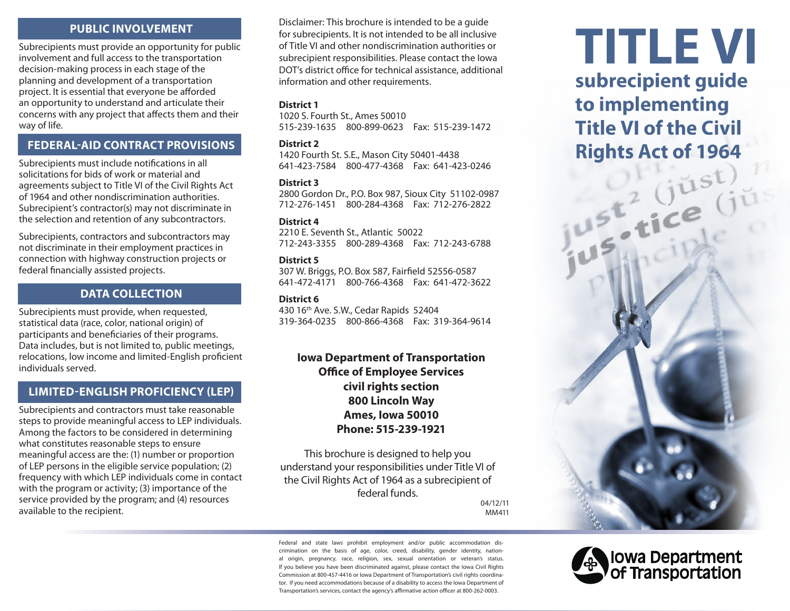# **PUBLIC INVOLVEMENT**

Subrecipients must provide an opportunity for public involvement and full access to the transportation decision-making process in each stage of the planning and development of a transportation project. It is essential that everyone be afforded an opportunity to understand and articulate their concerns with any project that affects them and their way of life.

# **FEDERAL-AID CONTRACT PROVISIONS**

Subrecipients must include notifications in all solicitations for bids of work or material and agreements subject to Title VI of the Civil Rights Act of 1964 and other nondiscrimination authorities. Subrecipient's contractor(s) may not discriminate in the selection and retention of any subcontractors.

Subrecipients, contractors and subcontractors may not discriminate in their employment practices in connection with highway construction projects or federal financially assisted projects.

# **DATA COLLECTION**

Subrecipients must provide, when requested, statistical data (race, color, national origin) of participants and beneficiaries of their programs. Data includes, but is not limited to, public meetings, relocations, low income and limited-English proficient individuals served.

## **LIMITED-ENGLISH PROFICIENCY (LEP)**

Subrecipients and contractors must take reasonable steps to provide meaningful access to LEP individuals. Among the factors to be considered in determining what constitutes reasonable steps to ensure meaningful access are the: (1) number or proportion of LEP persons in the eligible service population; (2) frequency with which LEP individuals come in contact with the program or activity; (3) importance of the service provided by the program; and (4) resources available to the recipient.

Disclaimer: This brochure is intended to be a guide for subrecipients. It is not intended to be all inclusive of Title VI and other nondiscrimination authorities or subrecipient responsibilities. Please contact the Iowa DOT's district office for technical assistance, additional information and other requirements.

### **District 1**

1020 S. Fourth St., Ames 50010 515-239-1635 800-899-0623 Fax: 515-239-1472

#### **District 2**

1420 Fourth St. S.E., Mason City 50401-4438 641-423-7584 800-477-4368 Fax: 641-423-0246

#### **District 3**

2800 Gordon Dr., P.O. Box 987, Sioux City 51102-0987 712-276-1451 800-284-4368 Fax: 712-276-2822

#### **District 4**

2210 E. Seventh St., Atlantic 50022 712-243-3355 800-289-4368 Fax: 712-243-6788

#### **District 5**

307 W. Briggs, P.O. Box 587, Fairfield 52556-0587 641-472-4171 800-766-4368 Fax: 641-472-3622

#### **District 6**

430 16th Ave. S.W., Cedar Rapids 52404 319-364-0235 800-866-4368 Fax: 319-364-9614

# **Iowa Department of Transportation Office of Employee Services civil rights section 800 Lincoln Way Ames, Iowa 50010 Phone: 515-239-1921**

This brochure is designed to help you understand your responsibilities under Title VI of the Civil Rights Act of 1964 as a subrecipient of federal funds.

04/12/11 MM411

Federal and state laws prohibit employment and/or public accommodation discrimination on the basis of age, color, creed, disability, gender identity, national origin, pregnancy, race, religion, sex, sexual orientation or veteran's status. If you believe you have been discriminated against, please contact the Iowa Civil Rights Commission at 800-457-4416 or Iowa Department of Transportation's civil rights coordinator. If you need accommodations because of a disability to access the Iowa Department of Transportation's services, contact the agency's affirmative action officer at 800-262-0003.

# **TITLE VI** subrecipient guide to implementing **Title VI of the Civil Rights Act of 1964**